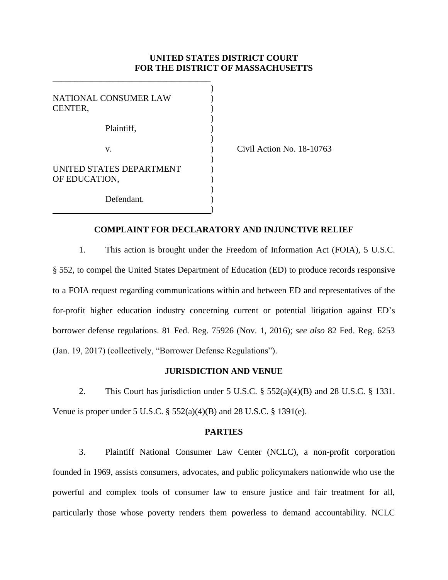### **UNITED STATES DISTRICT COURT FOR THE DISTRICT OF MASSACHUSETTS**

)

)

| NATIONAL CONSUMER LAW<br>CENTER,          |  |
|-------------------------------------------|--|
| Plaintiff,                                |  |
| V.                                        |  |
| UNITED STATES DEPARTMENT<br>OF EDUCATION, |  |
| Defendant.                                |  |

\_\_\_\_\_\_\_\_\_\_\_\_\_\_\_\_\_\_\_\_\_\_\_\_\_\_\_\_\_\_\_\_\_\_\_\_

(b) Civil Action No. 18-10763

### **COMPLAINT FOR DECLARATORY AND INJUNCTIVE RELIEF**

1. This action is brought under the Freedom of Information Act (FOIA), 5 U.S.C. § 552, to compel the United States Department of Education (ED) to produce records responsive to a FOIA request regarding communications within and between ED and representatives of the for-profit higher education industry concerning current or potential litigation against ED's borrower defense regulations. 81 Fed. Reg. 75926 (Nov. 1, 2016); *see also* 82 Fed. Reg. 6253 (Jan. 19, 2017) (collectively, "Borrower Defense Regulations").

### **JURISDICTION AND VENUE**

2. This Court has jurisdiction under 5 U.S.C. § 552(a)(4)(B) and 28 U.S.C. § 1331. Venue is proper under 5 U.S.C. § 552(a)(4)(B) and 28 U.S.C. § 1391(e).

#### **PARTIES**

3. Plaintiff National Consumer Law Center (NCLC), a non-profit corporation founded in 1969, assists consumers, advocates, and public policymakers nationwide who use the powerful and complex tools of consumer law to ensure justice and fair treatment for all, particularly those whose poverty renders them powerless to demand accountability. NCLC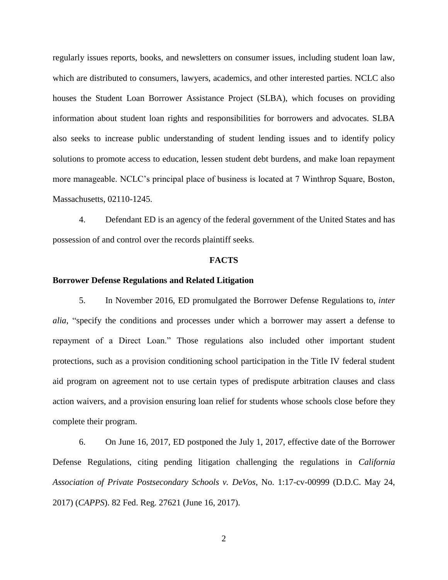regularly issues reports, books, and newsletters on consumer issues, including student loan law, which are distributed to consumers, lawyers, academics, and other interested parties. NCLC also houses the Student Loan Borrower Assistance Project (SLBA), which focuses on providing information about student loan rights and responsibilities for borrowers and advocates. SLBA also seeks to increase public understanding of student lending issues and to identify policy solutions to promote access to education, lessen student debt burdens, and make loan repayment more manageable. NCLC's principal place of business is located at 7 Winthrop Square, Boston, Massachusetts, 02110-1245.

4. Defendant ED is an agency of the federal government of the United States and has possession of and control over the records plaintiff seeks.

#### **FACTS**

#### **Borrower Defense Regulations and Related Litigation**

5. In November 2016, ED promulgated the Borrower Defense Regulations to, *inter alia*, "specify the conditions and processes under which a borrower may assert a defense to repayment of a Direct Loan." Those regulations also included other important student protections, such as a provision conditioning school participation in the Title IV federal student aid program on agreement not to use certain types of predispute arbitration clauses and class action waivers, and a provision ensuring loan relief for students whose schools close before they complete their program.

6. On June 16, 2017, ED postponed the July 1, 2017, effective date of the Borrower Defense Regulations, citing pending litigation challenging the regulations in *California Association of Private Postsecondary Schools v. DeVos*, No. 1:17-cv-00999 (D.D.C. May 24, 2017) (*CAPPS*). 82 Fed. Reg. 27621 (June 16, 2017).

2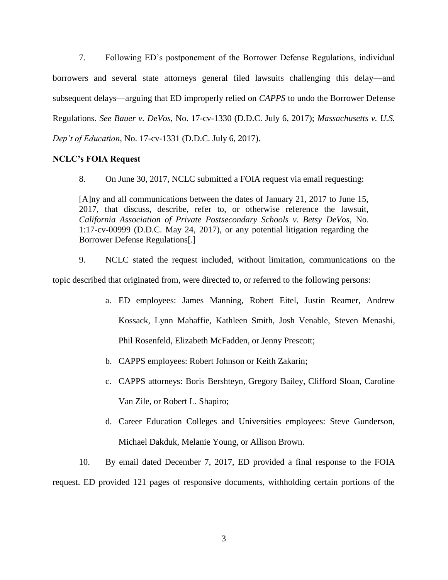7. Following ED's postponement of the Borrower Defense Regulations, individual borrowers and several state attorneys general filed lawsuits challenging this delay—and subsequent delays—arguing that ED improperly relied on *CAPPS* to undo the Borrower Defense Regulations. *See Bauer v. DeVos*, No. 17-cv-1330 (D.D.C. July 6, 2017); *Massachusetts v. U.S. Dep't of Education*, No. 17-cv-1331 (D.D.C. July 6, 2017).

# **NCLC's FOIA Request**

8. On June 30, 2017, NCLC submitted a FOIA request via email requesting:

[A]ny and all communications between the dates of January 21, 2017 to June 15, 2017, that discuss, describe, refer to, or otherwise reference the lawsuit, *California Association of Private Postsecondary Schools v. Betsy DeVos*, No. 1:17-cv-00999 (D.D.C. May 24, 2017), or any potential litigation regarding the Borrower Defense Regulations[.]

9. NCLC stated the request included, without limitation, communications on the topic described that originated from, were directed to, or referred to the following persons:

- a. ED employees: James Manning, Robert Eitel, Justin Reamer, Andrew Kossack, Lynn Mahaffie, Kathleen Smith, Josh Venable, Steven Menashi, Phil Rosenfeld, Elizabeth McFadden, or Jenny Prescott;
- b. CAPPS employees: Robert Johnson or Keith Zakarin;
- c. CAPPS attorneys: Boris Bershteyn, Gregory Bailey, Clifford Sloan, Caroline Van Zile, or Robert L. Shapiro;
- d. Career Education Colleges and Universities employees: Steve Gunderson, Michael Dakduk, Melanie Young, or Allison Brown.

10. By email dated December 7, 2017, ED provided a final response to the FOIA request. ED provided 121 pages of responsive documents, withholding certain portions of the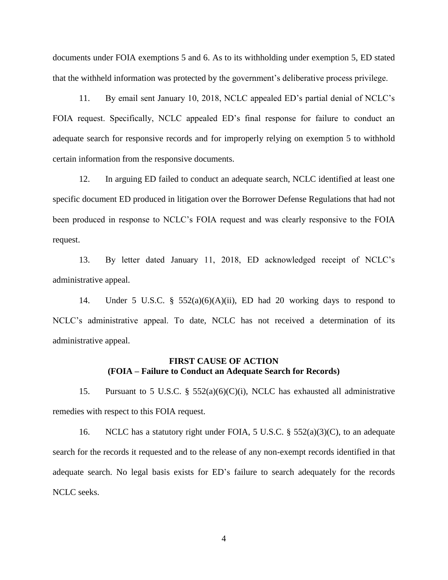documents under FOIA exemptions 5 and 6. As to its withholding under exemption 5, ED stated that the withheld information was protected by the government's deliberative process privilege.

11. By email sent January 10, 2018, NCLC appealed ED's partial denial of NCLC's FOIA request. Specifically, NCLC appealed ED's final response for failure to conduct an adequate search for responsive records and for improperly relying on exemption 5 to withhold certain information from the responsive documents.

12. In arguing ED failed to conduct an adequate search, NCLC identified at least one specific document ED produced in litigation over the Borrower Defense Regulations that had not been produced in response to NCLC's FOIA request and was clearly responsive to the FOIA request.

13. By letter dated January 11, 2018, ED acknowledged receipt of NCLC's administrative appeal.

14. Under 5 U.S.C. § 552(a)(6)(A)(ii), ED had 20 working days to respond to NCLC's administrative appeal. To date, NCLC has not received a determination of its administrative appeal.

# **FIRST CAUSE OF ACTION (FOIA – Failure to Conduct an Adequate Search for Records)**

15. Pursuant to 5 U.S.C. § 552(a)(6)(C)(i), NCLC has exhausted all administrative remedies with respect to this FOIA request.

16. NCLC has a statutory right under FOIA, 5 U.S.C. § 552(a)(3)(C), to an adequate search for the records it requested and to the release of any non-exempt records identified in that adequate search. No legal basis exists for ED's failure to search adequately for the records NCLC seeks.

4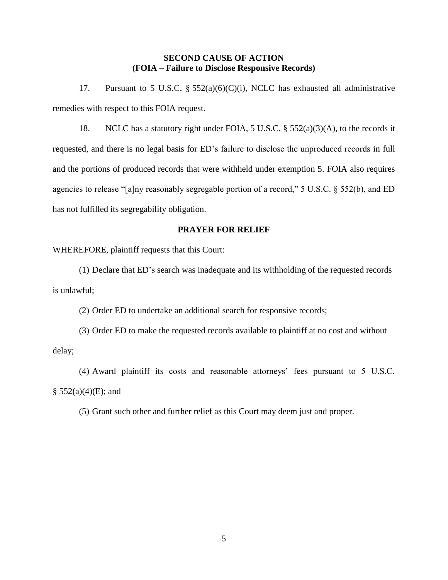# **SECOND CAUSE OF ACTION (FOIA – Failure to Disclose Responsive Records)**

17. Pursuant to 5 U.S.C. §  $552(a)(6)(C)(i)$ , NCLC has exhausted all administrative remedies with respect to this FOIA request.

18. NCLC has a statutory right under FOIA, 5 U.S.C. § 552(a)(3)(A), to the records it requested, and there is no legal basis for ED's failure to disclose the unproduced records in full and the portions of produced records that were withheld under exemption 5. FOIA also requires agencies to release "[a]ny reasonably segregable portion of a record," 5 U.S.C. § 552(b), and ED has not fulfilled its segregability obligation.

# **PRAYER FOR RELIEF**

WHEREFORE, plaintiff requests that this Court:

(1) Declare that ED's search was inadequate and its withholding of the requested records is unlawful;

(2) Order ED to undertake an additional search for responsive records;

(3) Order ED to make the requested records available to plaintiff at no cost and without delay;

(4) Award plaintiff its costs and reasonable attorneys' fees pursuant to 5 U.S.C.  $§ 552(a)(4)(E);$  and

(5) Grant such other and further relief as this Court may deem just and proper.

5